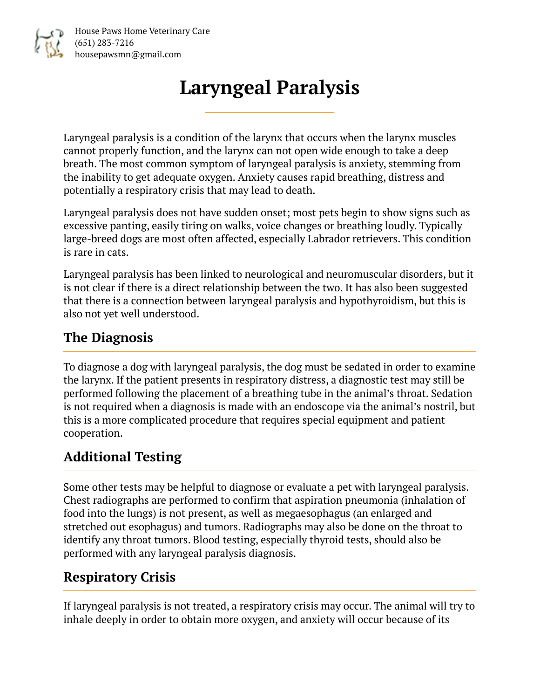

House Paws Home Veterinary Care (651) 283-7216 housepawsmn@gmail.com

# **Laryngeal Paralysis**

Laryngeal paralysis is a condition of the larynx that occurs when the larynx muscles cannot properly function, and the larynx can not open wide enough to take a deep breath. The most common symptom of laryngeal paralysis is anxiety, stemming from the inability to get adequate oxygen. Anxiety causes rapid breathing, distress and potentially a respiratory crisis that may lead to death.

Laryngeal paralysis does not have sudden onset; most pets begin to show signs such as excessive panting, easily tiring on walks, voice changes or breathing loudly. Typically large-breed dogs are most often affected, especially Labrador retrievers. This condition is rare in cats.

Laryngeal paralysis has been linked to neurological and neuromuscular disorders, but it is not clear if there is a direct relationship between the two. It has also been suggested that there is a connection between laryngeal paralysis and hypothyroidism, but this is also not yet well understood.

### **The Diagnosis**

To diagnose a dog with laryngeal paralysis, the dog must be sedated in order to examine the larynx. If the patient presents in respiratory distress, a diagnostic test may still be performed following the placement of a breathing tube in the animal's throat. Sedation is not required when a diagnosis is made with an endoscope via the animal's nostril, but this is a more complicated procedure that requires special equipment and patient cooperation.

#### **Additional Testing**

Some other tests may be helpful to diagnose or evaluate a pet with laryngeal paralysis. Chest radiographs are performed to confirm that aspiration pneumonia (inhalation of food into the lungs) is not present, as well as megaesophagus (an enlarged and stretched out esophagus) and tumors. Radiographs may also be done on the throat to identify any throat tumors. Blood testing, especially thyroid tests, should also be performed with any laryngeal paralysis diagnosis.

#### **Respiratory Crisis**

If laryngeal paralysis is not treated, a respiratory crisis may occur. The animal will try to inhale deeply in order to obtain more oxygen, and anxiety will occur because of its